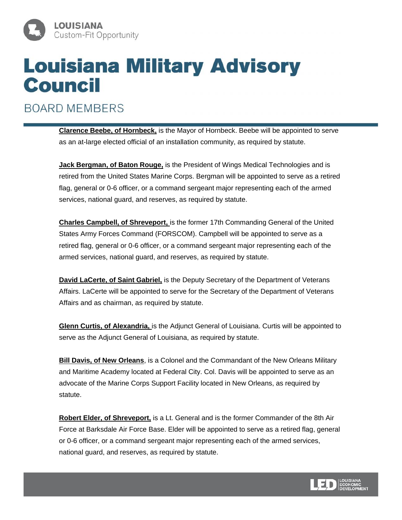

**BOARD MEMBERS** 

**Clarence Beebe, of Hornbeck,** is the Mayor of Hornbeck. Beebe will be appointed to serve as an at-large elected official of an installation community, as required by statute.

**Jack Bergman, of Baton Rouge,** is the President of Wings Medical Technologies and is retired from the United States Marine Corps. Bergman will be appointed to serve as a retired flag, general or 0-6 officer, or a command sergeant major representing each of the armed services, national guard, and reserves, as required by statute.

**Charles Campbell, of Shreveport,** is the former 17th Commanding General of the United States Army Forces Command (FORSCOM). Campbell will be appointed to serve as a retired flag, general or 0-6 officer, or a command sergeant major representing each of the armed services, national guard, and reserves, as required by statute.

**David LaCerte, of Saint Gabriel,** is the Deputy Secretary of the Department of Veterans Affairs. LaCerte will be appointed to serve for the Secretary of the Department of Veterans Affairs and as chairman, as required by statute.

**Glenn Curtis, of Alexandria,** is the Adjunct General of Louisiana. Curtis will be appointed to serve as the Adjunct General of Louisiana, as required by statute.

**Bill Davis, of New Orleans**, is a Colonel and the Commandant of the New Orleans Military and Maritime Academy located at Federal City. Col. Davis will be appointed to serve as an advocate of the Marine Corps Support Facility located in New Orleans, as required by statute.

**Robert Elder, of Shreveport,** is a Lt. General and is the former Commander of the 8th Air Force at Barksdale Air Force Base. Elder will be appointed to serve as a retired flag, general or 0-6 officer, or a command sergeant major representing each of the armed services, national guard, and reserves, as required by statute.

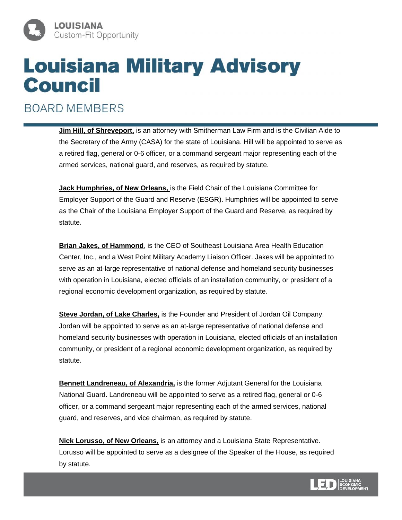

**BOARD MEMBERS** 

**Jim Hill, of Shreveport,** is an attorney with Smitherman Law Firm and is the Civilian Aide to the Secretary of the Army (CASA) for the state of Louisiana. Hill will be appointed to serve as a retired flag, general or 0-6 officer, or a command sergeant major representing each of the armed services, national guard, and reserves, as required by statute.

**Jack Humphries, of New Orleans,** is the Field Chair of the Louisiana Committee for Employer Support of the Guard and Reserve (ESGR). Humphries will be appointed to serve as the Chair of the Louisiana Employer Support of the Guard and Reserve, as required by statute.

**Brian Jakes, of Hammond**, is the CEO of Southeast Louisiana Area Health Education Center, Inc., and a West Point Military Academy Liaison Officer. Jakes will be appointed to serve as an at-large representative of national defense and homeland security businesses with operation in Louisiana, elected officials of an installation community, or president of a regional economic development organization, as required by statute.

**Steve Jordan, of Lake Charles,** is the Founder and President of Jordan Oil Company. Jordan will be appointed to serve as an at-large representative of national defense and homeland security businesses with operation in Louisiana, elected officials of an installation community, or president of a regional economic development organization, as required by statute.

**Bennett Landreneau, of Alexandria,** is the former Adjutant General for the Louisiana National Guard. Landreneau will be appointed to serve as a retired flag, general or 0-6 officer, or a command sergeant major representing each of the armed services, national guard, and reserves, and vice chairman, as required by statute.

**Nick Lorusso, of New Orleans,** is an attorney and a Louisiana State Representative. Lorusso will be appointed to serve as a designee of the Speaker of the House, as required by statute.

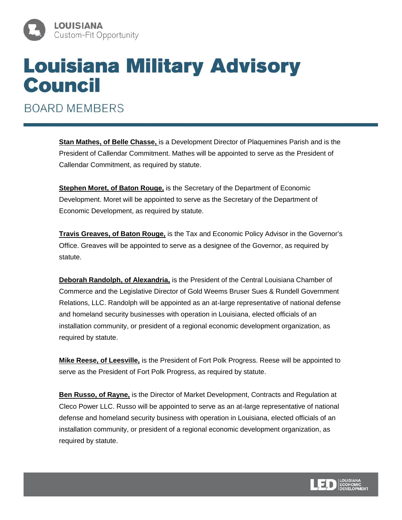

**BOARD MEMBERS** 

**Stan Mathes, of Belle Chasse,** is a Development Director of Plaquemines Parish and is the President of Callendar Commitment. Mathes will be appointed to serve as the President of Callendar Commitment, as required by statute.

**Stephen Moret, of Baton Rouge,** is the Secretary of the Department of Economic Development. Moret will be appointed to serve as the Secretary of the Department of Economic Development, as required by statute.

**Travis Greaves, of Baton Rouge,** is the Tax and Economic Policy Advisor in the Governor's Office. Greaves will be appointed to serve as a designee of the Governor, as required by statute.

**Deborah Randolph, of Alexandria,** is the President of the Central Louisiana Chamber of Commerce and the Legislative Director of Gold Weems Bruser Sues & Rundell Government Relations, LLC. Randolph will be appointed as an at-large representative of national defense and homeland security businesses with operation in Louisiana, elected officials of an installation community, or president of a regional economic development organization, as required by statute.

**Mike Reese, of Leesville,** is the President of Fort Polk Progress. Reese will be appointed to serve as the President of Fort Polk Progress, as required by statute.

**Ben Russo, of Rayne,** is the Director of Market Development, Contracts and Regulation at Cleco Power LLC. Russo will be appointed to serve as an at-large representative of national defense and homeland security business with operation in Louisiana, elected officials of an installation community, or president of a regional economic development organization, as required by statute.